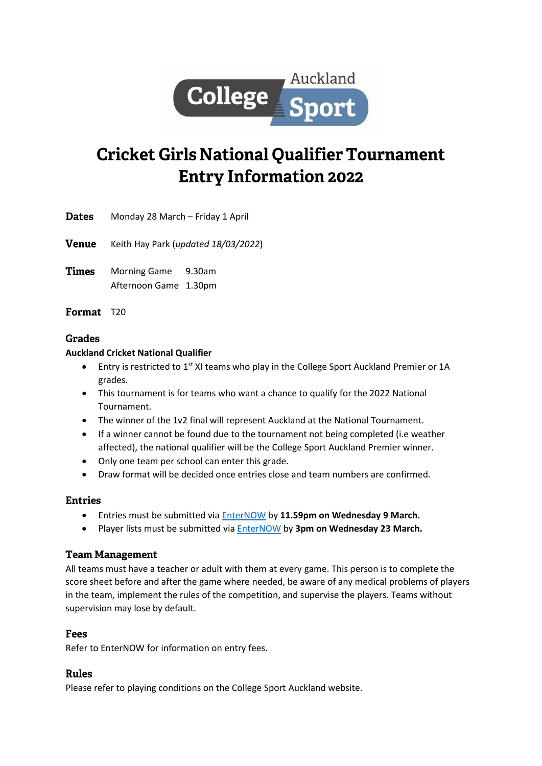

# **Cricket Girls National Qualifier Tournament Entry Information 2022**

**Dates** Monday 28 March – Friday 1 April

**Venue** Keith Hay Park (*updated 18/03/2022*)

Times Morning Game 9.30am Afternoon Game 1.30pm

Format T20

## **Grades**

#### **Auckland Cricket National Qualifier**

- Entry is restricted to 1<sup>st</sup> XI teams who play in the College Sport Auckland Premier or 1A grades.
- This tournament is for teams who want a chance to qualify for the 2022 National Tournament.
- The winner of the 1v2 final will represent Auckland at the National Tournament.
- If a winner cannot be found due to the tournament not being completed (i.e weather affected), the national qualifier will be the College Sport Auckland Premier winner.
- Only one team per school can enter this grade.
- Draw format will be decided once entries close and team numbers are confirmed.

## **Entries**

- Entries must be submitted via [EnterNOW](https://enternow.co.nz/enternow-app/collegesportauckland) by **11.59pm on Wednesday 9 March.**
- Player lists must be submitted vi[a EnterNOW](https://enternow.co.nz/enternow-app/collegesportauckland) by **3pm on Wednesday 23 March.**

## **Team Management**

All teams must have a teacher or adult with them at every game. This person is to complete the score sheet before and after the game where needed, be aware of any medical problems of players in the team, implement the rules of the competition, and supervise the players. Teams without supervision may lose by default.

## **Fees**

Refer to EnterNOW for information on entry fees.

## **Rules**

Please refer to playing conditions on the College Sport Auckland website.